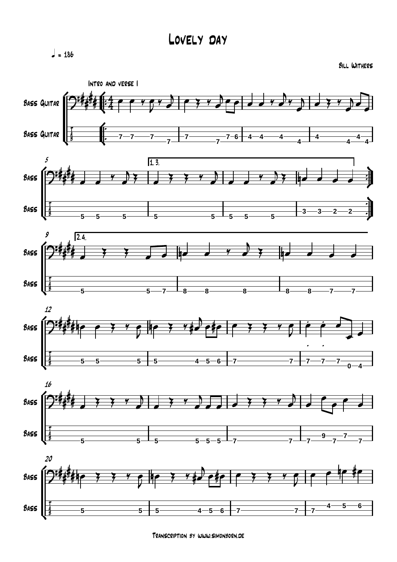$= 186$ 

Bill Withers



Transcription by www.simonborn.de